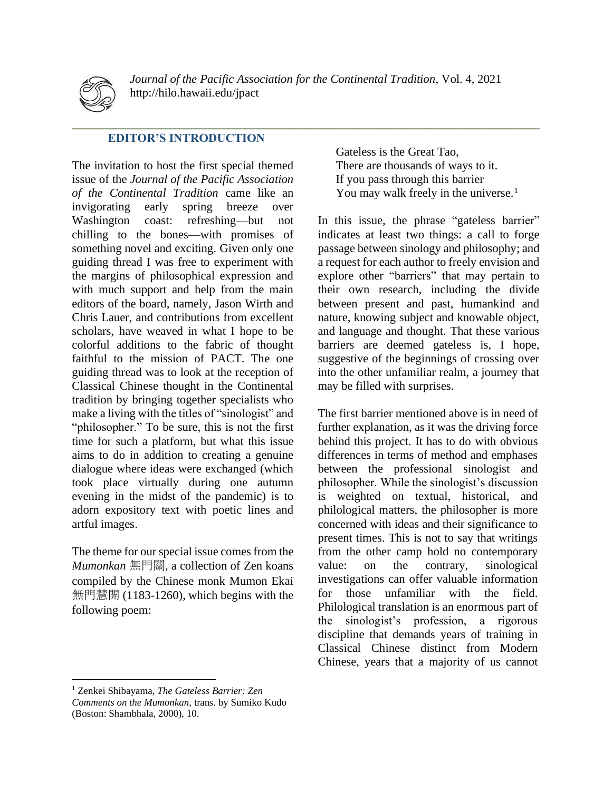

*Journal of the Pacific Association for the Continental Tradition*, Vol. 4, 2021 http://hilo.hawaii.edu/jpact

**\_\_\_\_\_\_\_\_\_\_\_\_\_\_\_\_\_\_\_\_\_\_\_\_\_\_\_\_\_\_\_\_\_\_\_\_\_\_\_\_\_\_\_\_\_\_\_\_\_\_\_\_\_\_\_\_\_\_\_\_\_\_\_\_\_\_\_\_\_\_\_\_\_\_\_\_\_\_**

## **EDITOR'S INTRODUCTION**

The invitation to host the first special themed issue of the *Journal of the Pacific Association of the Continental Tradition* came like an invigorating early spring breeze over Washington coast: refreshing—but not chilling to the bones—with promises of something novel and exciting. Given only one guiding thread I was free to experiment with the margins of philosophical expression and with much support and help from the main editors of the board, namely, Jason Wirth and Chris Lauer, and contributions from excellent scholars, have weaved in what I hope to be colorful additions to the fabric of thought faithful to the mission of PACT. The one guiding thread was to look at the reception of Classical Chinese thought in the Continental tradition by bringing together specialists who make a living with the titles of "sinologist" and "philosopher." To be sure, this is not the first time for such a platform, but what this issue aims to do in addition to creating a genuine dialogue where ideas were exchanged (which took place virtually during one autumn evening in the midst of the pandemic) is to adorn expository text with poetic lines and artful images.

The theme for our special issue comes from the *Mumonkan* 無門關, a collection of Zen koans compiled by the Chinese monk Mumon Ekai 無門慧開 (1183-1260), which begins with the following poem:

Gateless is the Great Tao, There are thousands of ways to it. If you pass through this barrier You may walk freely in the universe.<sup>1</sup>

In this issue, the phrase "gateless barrier" indicates at least two things: a call to forge passage between sinology and philosophy; and a request for each author to freely envision and explore other "barriers" that may pertain to their own research, including the divide between present and past, humankind and nature, knowing subject and knowable object, and language and thought. That these various barriers are deemed gateless is, I hope, suggestive of the beginnings of crossing over into the other unfamiliar realm, a journey that may be filled with surprises.

The first barrier mentioned above is in need of further explanation, as it was the driving force behind this project. It has to do with obvious differences in terms of method and emphases between the professional sinologist and philosopher. While the sinologist's discussion is weighted on textual, historical, and philological matters, the philosopher is more concerned with ideas and their significance to present times. This is not to say that writings from the other camp hold no contemporary value: on the contrary, sinological investigations can offer valuable information for those unfamiliar with the field. Philological translation is an enormous part of the sinologist's profession, a rigorous discipline that demands years of training in Classical Chinese distinct from Modern Chinese, years that a majority of us cannot

<sup>1</sup> Zenkei Shibayama, *The Gateless Barrier: Zen Comments on the Mumonkan,* trans. by Sumiko Kudo (Boston: Shambhala, 2000), 10.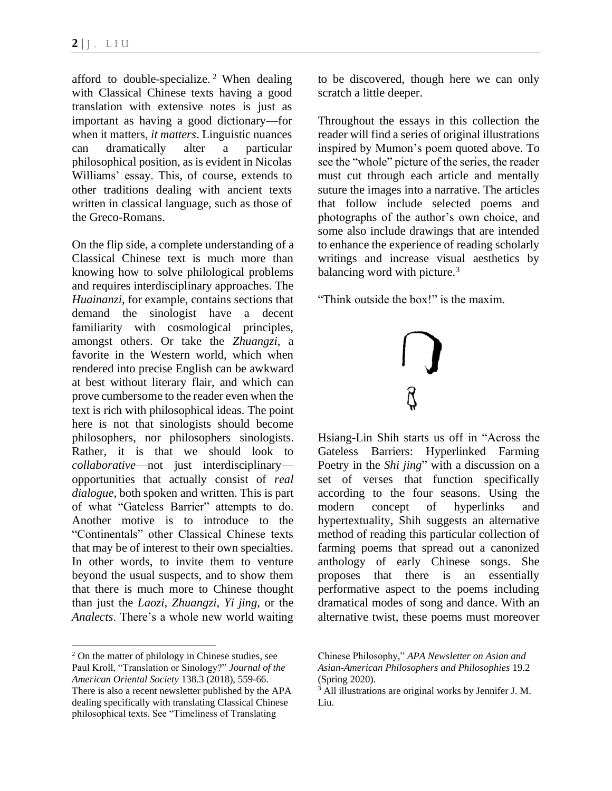afford to double-specialize.<sup>2</sup> When dealing with Classical Chinese texts having a good translation with extensive notes is just as important as having a good dictionary—for when it matters, *it matters*. Linguistic nuances can dramatically alter a particular philosophical position, as is evident in Nicolas Williams' essay. This, of course, extends to other traditions dealing with ancient texts written in classical language, such as those of the Greco-Romans.

On the flip side, a complete understanding of a Classical Chinese text is much more than knowing how to solve philological problems and requires interdisciplinary approaches. The *Huainanzi*, for example, contains sections that demand the sinologist have a decent familiarity with cosmological principles, amongst others. Or take the *Zhuangzi*, a favorite in the Western world, which when rendered into precise English can be awkward at best without literary flair, and which can prove cumbersome to the reader even when the text is rich with philosophical ideas. The point here is not that sinologists should become philosophers, nor philosophers sinologists. Rather, it is that we should look to *collaborative*—not just interdisciplinary opportunities that actually consist of *real dialogue*, both spoken and written. This is part of what "Gateless Barrier" attempts to do. Another motive is to introduce to the "Continentals" other Classical Chinese texts that may be of interest to their own specialties. In other words, to invite them to venture beyond the usual suspects, and to show them that there is much more to Chinese thought than just the *Laozi*, *Zhuangzi*, *Yi jing*, or the *Analects*. There's a whole new world waiting

<sup>2</sup> On the matter of philology in Chinese studies, see Paul Kroll, "Translation or Sinology?" *Journal of the American Oriental Society* 138.3 (2018), 559-66. There is also a recent newsletter published by the APA dealing specifically with translating Classical Chinese philosophical texts. See "Timeliness of Translating

to be discovered, though here we can only scratch a little deeper.

Throughout the essays in this collection the reader will find a series of original illustrations inspired by Mumon's poem quoted above. To see the "whole" picture of the series, the reader must cut through each article and mentally suture the images into a narrative. The articles that follow include selected poems and photographs of the author's own choice, and some also include drawings that are intended to enhance the experience of reading scholarly writings and increase visual aesthetics by balancing word with picture. $3$ 

"Think outside the box!" is the maxim.



Hsiang-Lin Shih starts us off in "Across the Gateless Barriers: Hyperlinked Farming Poetry in the *Shi jing*" with a discussion on a set of verses that function specifically according to the four seasons. Using the modern concept of hyperlinks and hypertextuality, Shih suggests an alternative method of reading this particular collection of farming poems that spread out a canonized anthology of early Chinese songs. She proposes that there is an essentially performative aspect to the poems including dramatical modes of song and dance. With an alternative twist, these poems must moreover

Chinese Philosophy," *APA Newsletter on Asian and Asian-American Philosophers and Philosophies* 19.2 (Spring 2020).

<sup>3</sup> All illustrations are original works by Jennifer J. M. Liu.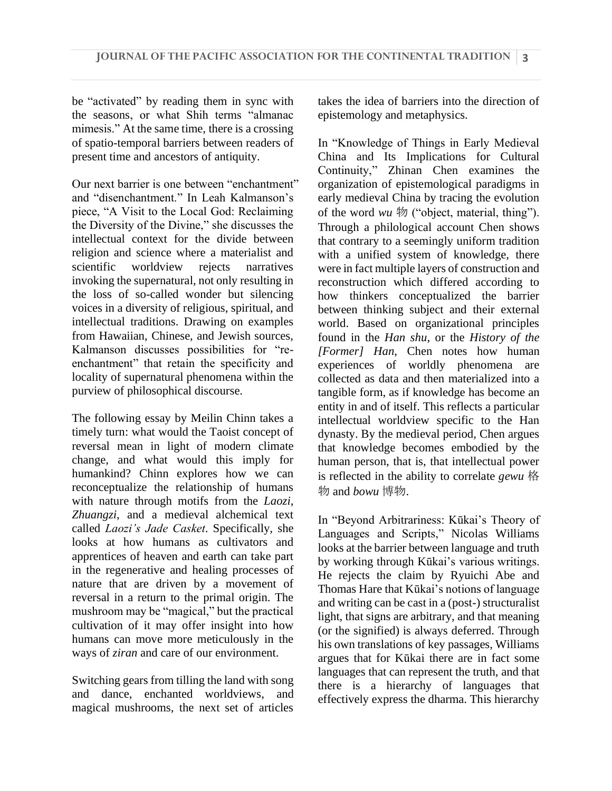be "activated" by reading them in sync with the seasons, or what Shih terms "almanac mimesis." At the same time, there is a crossing of spatio-temporal barriers between readers of present time and ancestors of antiquity.

Our next barrier is one between "enchantment" and "disenchantment." In Leah Kalmanson's piece, "A Visit to the Local God: Reclaiming the Diversity of the Divine," she discusses the intellectual context for the divide between religion and science where a materialist and scientific worldview rejects narratives invoking the supernatural, not only resulting in the loss of so-called wonder but silencing voices in a diversity of religious, spiritual, and intellectual traditions. Drawing on examples from Hawaiian, Chinese, and Jewish sources, Kalmanson discusses possibilities for "reenchantment" that retain the specificity and locality of supernatural phenomena within the purview of philosophical discourse.

The following essay by Meilin Chinn takes a timely turn: what would the Taoist concept of reversal mean in light of modern climate change, and what would this imply for humankind? Chinn explores how we can reconceptualize the relationship of humans with nature through motifs from the *Laozi*, *Zhuangzi*, and a medieval alchemical text called *Laozi's Jade Casket*. Specifically, she looks at how humans as cultivators and apprentices of heaven and earth can take part in the regenerative and healing processes of nature that are driven by a movement of reversal in a return to the primal origin. The mushroom may be "magical," but the practical cultivation of it may offer insight into how humans can move more meticulously in the ways of *ziran* and care of our environment.

Switching gears from tilling the land with song and dance, enchanted worldviews, and magical mushrooms, the next set of articles

takes the idea of barriers into the direction of epistemology and metaphysics.

In "Knowledge of Things in Early Medieval China and Its Implications for Cultural Continuity," Zhinan Chen examines the organization of epistemological paradigms in early medieval China by tracing the evolution of the word *wu* 物 ("object, material, thing"). Through a philological account Chen shows that contrary to a seemingly uniform tradition with a unified system of knowledge, there were in fact multiple layers of construction and reconstruction which differed according to how thinkers conceptualized the barrier between thinking subject and their external world. Based on organizational principles found in the *Han shu*, or the *History of the [Former] Han*, Chen notes how human experiences of worldly phenomena are collected as data and then materialized into a tangible form, as if knowledge has become an entity in and of itself. This reflects a particular intellectual worldview specific to the Han dynasty. By the medieval period, Chen argues that knowledge becomes embodied by the human person, that is, that intellectual power is reflected in the ability to correlate *gewu* 格 物 and *bowu* 博物.

In "Beyond Arbitrariness: Kūkai's Theory of Languages and Scripts," Nicolas Williams looks at the barrier between language and truth by working through Kūkai's various writings. He rejects the claim by Ryuichi Abe and Thomas Hare that Kūkai's notions of language and writing can be cast in a (post-) structuralist light, that signs are arbitrary, and that meaning (or the signified) is always deferred. Through his own translations of key passages, Williams argues that for Kūkai there are in fact some languages that can represent the truth, and that there is a hierarchy of languages that effectively express the dharma. This hierarchy